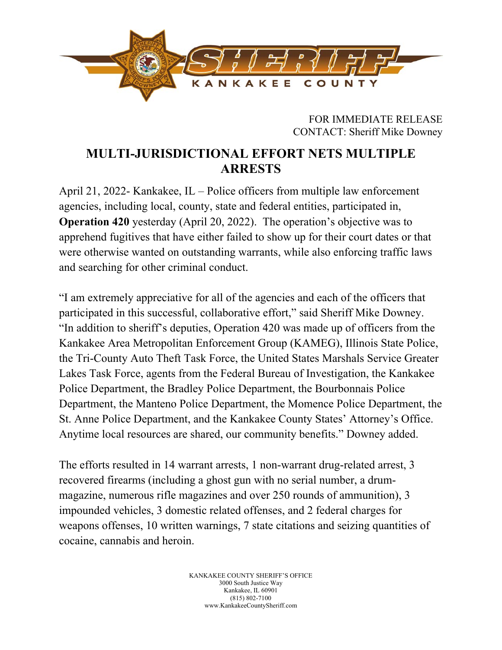

FOR IMMEDIATE RELEASE CONTACT: Sheriff Mike Downey

## **MULTI-JURISDICTIONAL EFFORT NETS MULTIPLE ARRESTS**

April 21, 2022- Kankakee, IL – Police officers from multiple law enforcement agencies, including local, county, state and federal entities, participated in, **Operation 420** yesterday (April 20, 2022). The operation's objective was to apprehend fugitives that have either failed to show up for their court dates or that were otherwise wanted on outstanding warrants, while also enforcing traffic laws and searching for other criminal conduct.

"I am extremely appreciative for all of the agencies and each of the officers that participated in this successful, collaborative effort," said Sheriff Mike Downey. "In addition to sheriff's deputies, Operation 420 was made up of officers from the Kankakee Area Metropolitan Enforcement Group (KAMEG), Illinois State Police, the Tri-County Auto Theft Task Force, the United States Marshals Service Greater Lakes Task Force, agents from the Federal Bureau of Investigation, the Kankakee Police Department, the Bradley Police Department, the Bourbonnais Police Department, the Manteno Police Department, the Momence Police Department, the St. Anne Police Department, and the Kankakee County States' Attorney's Office. Anytime local resources are shared, our community benefits." Downey added.

The efforts resulted in 14 warrant arrests, 1 non-warrant drug-related arrest, 3 recovered firearms (including a ghost gun with no serial number, a drummagazine, numerous rifle magazines and over 250 rounds of ammunition), 3 impounded vehicles, 3 domestic related offenses, and 2 federal charges for weapons offenses, 10 written warnings, 7 state citations and seizing quantities of cocaine, cannabis and heroin.

> KANKAKEE COUNTY SHERIFF'S OFFICE 3000 South Justice Way Kankakee, IL 60901 (815) 802-7100 www.KankakeeCountySheriff.com